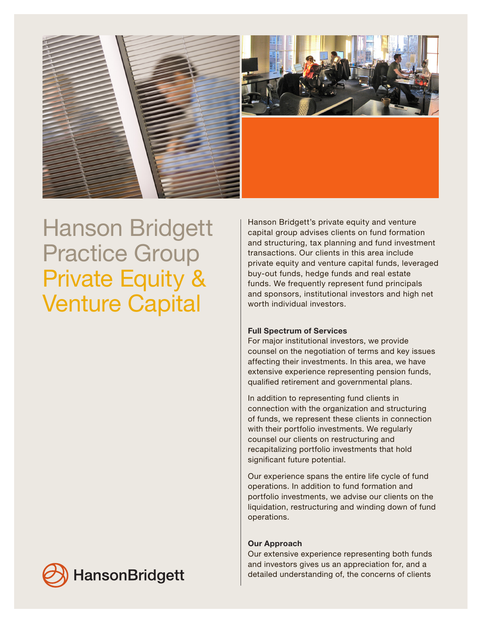

## Hanson Bridgett Practice Group Private Equity & Venture Capital

Hanson Bridgett's private equity and venture capital group advises clients on fund formation and structuring, tax planning and fund investment transactions. Our clients in this area include private equity and venture capital funds, leveraged buy-out funds, hedge funds and real estate funds. We frequently represent fund principals and sponsors, institutional investors and high net worth individual investors.

## Full Spectrum of Services

For major institutional investors, we provide counsel on the negotiation of terms and key issues affecting their investments. In this area, we have extensive experience representing pension funds, qualified retirement and governmental plans.

In addition to representing fund clients in connection with the organization and structuring of funds, we represent these clients in connection with their portfolio investments. We regularly counsel our clients on restructuring and recapitalizing portfolio investments that hold significant future potential.

Our experience spans the entire life cycle of fund operations. In addition to fund formation and portfolio investments, we advise our clients on the liquidation, restructuring and winding down of fund operations.

## Our Approach

Our extensive experience representing both funds and investors gives us an appreciation for, and a detailed understanding of, the concerns of clients